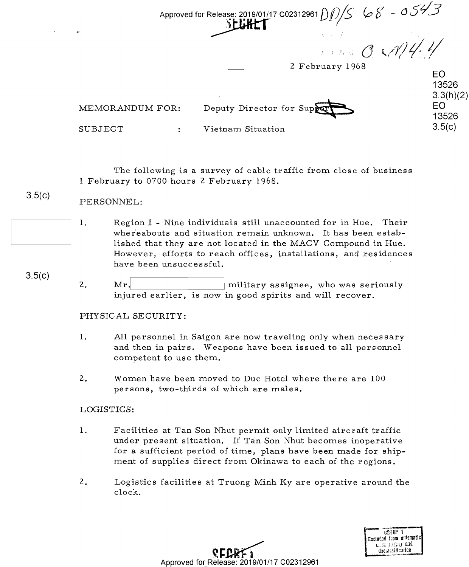Approved for Release: 2019/01/17 C02312961 D 1 *1,) /s* :it-~ *<sup>1</sup>* ?- ~---- Approved for Release: 2019/01/17 C02312961  $\cal O(D/S)/S^-$  (or  $\cal S$  -- Or  $\cal J$  --  $\cal J$  $S$ -LLHET

**EO**  E0 13526 13526

3.3(h)(2) **EO**  13526  $3.5(c)$ 

2 February 1968 2 February 1968

MEMORANDUM FOR: B.3(h)(2)<br>MEMORANDUM FOR: Deputy Director for Supper Supplies ,  $3.3(h)(2)$ 

**SUBJECT** 

Vietnam Situation SUBJECT : Vietnam Situation 35(0)

The following is a survey of cable traffic from close of business The following is <sup>a</sup> survey of cable traffic from close of business 1 February to 0700 hours 2 February 1968. 1 February to 0700 hours 2. February 1968.

## $3.5(c)$ PERSONNEL: PERSONNEL:

- 1. Region I Nine individuals still unaccounted for in Hue. Their wher'eabouts and situation remain unknown. It has been estab-whereabouts and situation remain unknown. It has been established that they are not located in the MACV Compound in Hue. lished that they are not located in the MACV Compound in Hue. However, efforts to reach offices, installations, and residences However, efforts to reach offices, installations, and residences have been unsuccessful. have been unsuccessful. '
- 3.5(c) 3.5(0) 2. Mr. <u>I military</u> assignee, who was seriously injured earlier, is now in good spirits and will recover. injured earlier, is now in good spirits and will recover.

## PHYSICAL SECURITY: PHYSICAL SE C URITY:

- 1. All personnel in Saigon are now traveling only when necessary I. All personnel in Saigon are now traveling only when necessary and then in pairs. Weapons have been issued to all personnel and then in pairs. Weapons have been issued to all personnel competent to use them. competent to use them.
- 2. Women have been moved to Due Hotel where there are 100 2.. Women have been 'moved to Duc Hotel where there are 100 persons, two-thirds of which are males. persons, two—thirds of which are males.

## LOGISTICS: LOGISTICS:

- 1. Facilities at Tan Son Nhut permit only limited aircraft traffic 1. Facilities at Tan Son Nhut permit only limited aircraft traffic under present situation. If Tan Son Nhut becomes inoperative under present situation. If Tan Son Nhut becomes inoperative for a sufficient period of time, plans have been made for ship-for <sup>a</sup> sufficient period of time, plans have been made for shipment of supplies direct from Okinawa to each of the regions. ment of supplies direct from Okinawa to each of the regions.
- 2. Logistics facilities at Truong Minh Ky are operative around the 2. Logistics facilities at Truong Minh Ky are Operative around the clock. clock.



**~f:J?.Ri:1**  Approved for\_ Release: 2019/01/17 C02312961 Approved f0r\_Re|ease: 2019/01/17 C02312961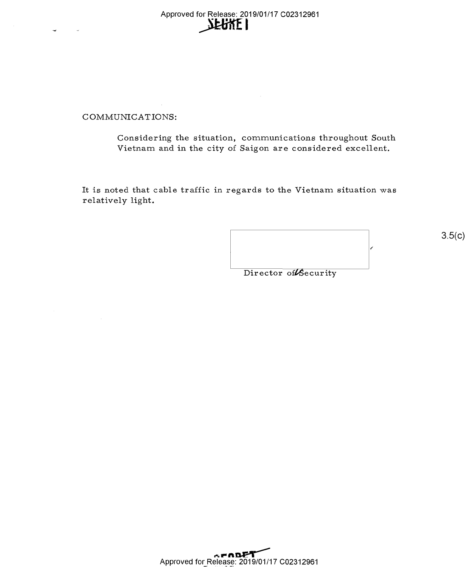Approved for Release: 2019/01/17 C02312961 for Release: 2019/01<br>**NEUNE** Approved for Release: 2019/01/17 002312961

## COMMUNICATIONS: C OMMUNICATIONS:

Considering the situation, communications throughout South Considering the situation, communications throughout South Vietnam and in the city of Saigon are considered excellent. Vietnam and in the city of Saigon are considered excellent.

It is noted that cable traffic in regards to the Vietnam situation was It is noted that cable traffic in regards to the Vietnam situation was relatively light. relatively light.

 $\epsilon$ Director of Security

 $3.5(c)$